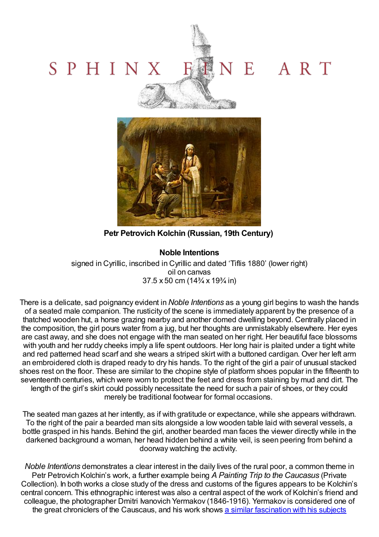## VE ART SPHINX Sattletown &



**Petr Petrovich Kolchin (Russian, 19th Century)**

## **Noble Intentions**

signed in Cyrillic, inscribed in Cyrillic and dated 'Tiflis 1880' (lower right) oil on canvas 37.5 x 50 cm (14¾ x 19¾ in)

There is a delicate, sad poignancy evident in *Noble Intentions* as a young girl begins to wash the hands of a seated male companion. The rusticity of the scene is immediately apparent by the presence of a thatched wooden hut, a horse grazing nearby and another domed dwelling beyond. Centrally placed in the composition, the girl pours water from a jug, but her thoughts are unmistakably elsewhere. Her eyes are cast away, and she does not engage with the man seated on her right. Her beautiful face blossoms with youth and her ruddy cheeks imply a life spent outdoors. Her long hair is plaited under a tight white and red patterned head scarf and she wears a striped skirt with a buttoned cardigan. Over her left arm an embroidered cloth is draped ready to dry his hands. To the right of the girl a pair of unusual stacked shoes rest on the floor. These are similar to the chopine style of platform shoes popular in the fifteenth to seventeenth centuries, which were worn to protect the feet and dress from staining by mud and dirt. The length of the girl's skirt could possibly necessitate the need for such a pair of shoes, or they could merely be traditional footwear for formal occasions.

The seated man gazes at her intently, as if with gratitude or expectance, while she appears withdrawn. To the right of the pair a bearded man sits alongside a low wooden table laid with several vessels, a bottle grasped in his hands. Behind the girl, another bearded man faces the viewer directly while in the darkened background a woman, her head hidden behind a white veil, is seen peering from behind a doorway watching the activity.

*Noble Intentions* demonstrates a clear interest in the daily lives of the rural poor, a common theme in Petr Petrovich Kolchin's work, a further example being *A Painting Trip to the Caucasus* (Private Collection). In both works a close study of the dress and customs of the figures appears to be Kolchin's central concern. This ethnographic interest was also a central aspect of the work of Kolchin's friend and colleague, the photographer Dmitri Ivanovich Yermakov (1846-1916). Yermakov is considered one of the great chroniclers of the Causcaus, and his work shows a similar [fascination](http://upload.wikimedia.org/wikipedia/commons/7/70/Ermakov._Three_women.jpg) with his subjects